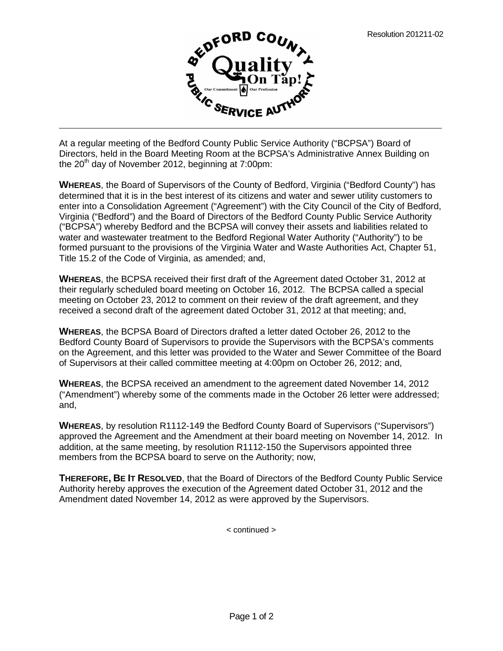

At a regular meeting of the Bedford County Public Service Authority ("BCPSA") Board of Directors, held in the Board Meeting Room at the BCPSA's Administrative Annex Building on the  $20<sup>th</sup>$  day of November 2012, beginning at 7:00pm:

**WHEREAS**, the Board of Supervisors of the County of Bedford, Virginia ("Bedford County") has determined that it is in the best interest of its citizens and water and sewer utility customers to enter into a Consolidation Agreement ("Agreement") with the City Council of the City of Bedford, Virginia ("Bedford") and the Board of Directors of the Bedford County Public Service Authority ("BCPSA") whereby Bedford and the BCPSA will convey their assets and liabilities related to water and wastewater treatment to the Bedford Regional Water Authority ("Authority") to be formed pursuant to the provisions of the Virginia Water and Waste Authorities Act, Chapter 51, Title 15.2 of the Code of Virginia, as amended; and,

**WHEREAS**, the BCPSA received their first draft of the Agreement dated October 31, 2012 at their regularly scheduled board meeting on October 16, 2012. The BCPSA called a special meeting on October 23, 2012 to comment on their review of the draft agreement, and they received a second draft of the agreement dated October 31, 2012 at that meeting; and,

**WHEREAS**, the BCPSA Board of Directors drafted a letter dated October 26, 2012 to the Bedford County Board of Supervisors to provide the Supervisors with the BCPSA's comments on the Agreement, and this letter was provided to the Water and Sewer Committee of the Board of Supervisors at their called committee meeting at 4:00pm on October 26, 2012; and,

**WHEREAS**, the BCPSA received an amendment to the agreement dated November 14, 2012 ("Amendment") whereby some of the comments made in the October 26 letter were addressed; and,

**WHEREAS**, by resolution R1112-149 the Bedford County Board of Supervisors ("Supervisors") approved the Agreement and the Amendment at their board meeting on November 14, 2012. In addition, at the same meeting, by resolution R1112-150 the Supervisors appointed three members from the BCPSA board to serve on the Authority; now,

**THEREFORE, BE IT RESOLVED**, that the Board of Directors of the Bedford County Public Service Authority hereby approves the execution of the Agreement dated October 31, 2012 and the Amendment dated November 14, 2012 as were approved by the Supervisors.

< continued >